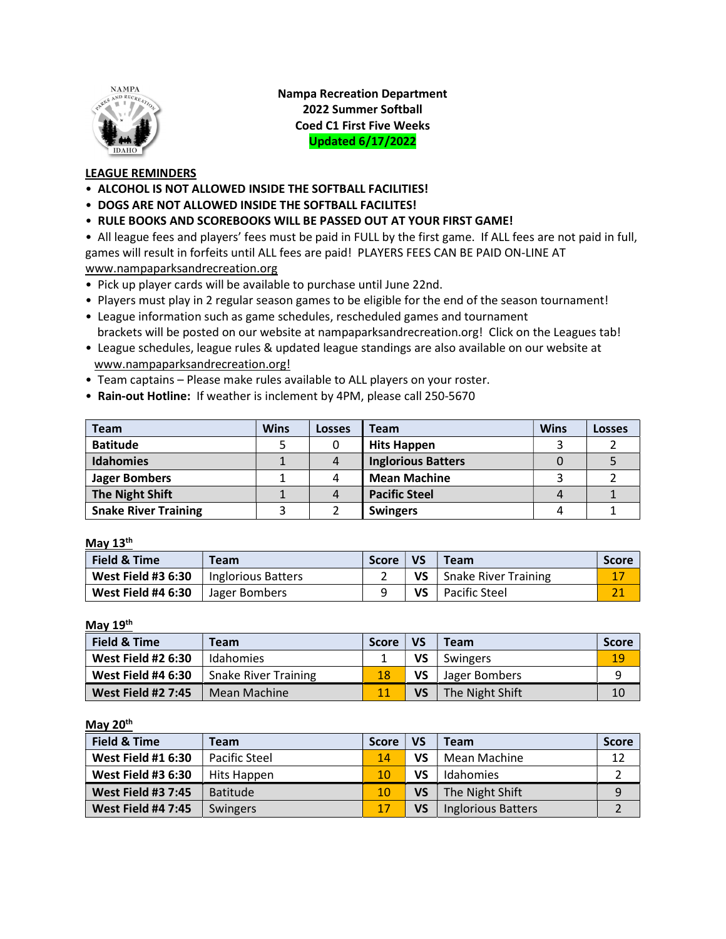

Nampa Recreation Department 2022 Summer Softball Coed C1 First Five Weeks Updated 6/17/2022

# LEAGUE REMINDERS

- ALCOHOL IS NOT ALLOWED INSIDE THE SOFTBALL FACILITIES!
- DOGS ARE NOT ALLOWED INSIDE THE SOFTBALL FACILITES!
- RULE BOOKS AND SCOREBOOKS WILL BE PASSED OUT AT YOUR FIRST GAME!

• All league fees and players' fees must be paid in FULL by the first game. If ALL fees are not paid in full, games will result in forfeits until ALL fees are paid! PLAYERS FEES CAN BE PAID ON-LINE AT www.nampaparksandrecreation.org

- Pick up player cards will be available to purchase until June 22nd.
- Players must play in 2 regular season games to be eligible for the end of the season tournament!
- League information such as game schedules, rescheduled games and tournament brackets will be posted on our website at nampaparksandrecreation.org! Click on the Leagues tab!
- League schedules, league rules & updated league standings are also available on our website at www.nampaparksandrecreation.org!
- Team captains Please make rules available to ALL players on your roster.
- Rain-out Hotline: If weather is inclement by 4PM, please call 250-5670

| <b>Team</b>                 | <b>Wins</b> | <b>Losses</b> | Team                      | <b>Wins</b> | <b>Losses</b> |
|-----------------------------|-------------|---------------|---------------------------|-------------|---------------|
| <b>Batitude</b>             |             |               | <b>Hits Happen</b>        |             |               |
| <b>Idahomies</b>            |             | 4             | <b>Inglorious Batters</b> |             |               |
| <b>Jager Bombers</b>        |             | 4             | <b>Mean Machine</b>       |             |               |
| <b>The Night Shift</b>      |             | 4             | <b>Pacific Steel</b>      | 4           |               |
| <b>Snake River Training</b> |             |               | <b>Swingers</b>           |             |               |

## May 13<sup>th</sup>

| Field & Time              | <b>Team</b>        | <b>Score</b> | <b>VS</b> | <b>Team</b>                 | <b>Score</b> |
|---------------------------|--------------------|--------------|-----------|-----------------------------|--------------|
| <b>West Field #3 6:30</b> | Inglorious Batters |              | <b>VS</b> | <b>Snake River Training</b> | 17           |
| <b>West Field #4 6:30</b> | Jager Bombers      |              | VS        | Pacific Steel               |              |

May 19<sup>th</sup>

| Field & Time              | Team                        | Score | <b>VS</b> | <b>Team</b>     | <b>Score</b> |
|---------------------------|-----------------------------|-------|-----------|-----------------|--------------|
| <b>West Field #2 6:30</b> | Idahomies                   |       | VS        | Swingers        | 19           |
| <b>West Field #4 6:30</b> | <b>Snake River Training</b> | 18    | VS        | Jager Bombers   | Q            |
| <b>West Field #2 7:45</b> | Mean Machine                |       | VS        | The Night Shift | 10           |

### May 20<sup>th</sup>

| Field & Time              | Team            | <b>Score</b> | <b>VS</b> | <b>Team</b>               | <b>Score</b> |
|---------------------------|-----------------|--------------|-----------|---------------------------|--------------|
| <b>West Field #1 6:30</b> | Pacific Steel   | 14           | VS        | Mean Machine              | 12           |
| <b>West Field #3 6:30</b> | Hits Happen     | 10           | VS        | Idahomies                 |              |
| <b>West Field #3 7:45</b> | <b>Batitude</b> | 10           | VS        | The Night Shift           | 9            |
| <b>West Field #4 7:45</b> | Swingers        | 17           | VS        | <b>Inglorious Batters</b> |              |